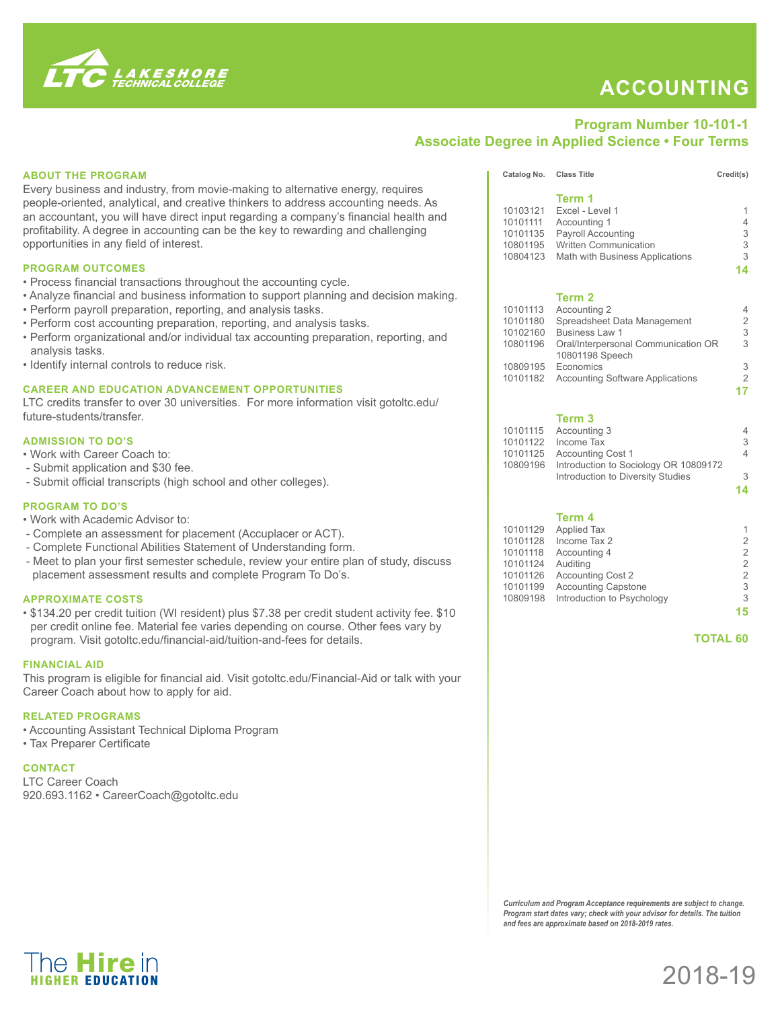

The **Hire** in

## **ACCOUNTING**

## **Program Number 10-101-1 Associate Degree in Applied Science • Four Terms**

|  | <b>ABOUT THE PROGRAM</b>                                                                                                                                                                                                                                                                                                                                                                                                                                                                                                                                                                                                                                                   |                                                          | Catalog No. Class Title                                                                                                                                                                                                                       | Credit(s)                                                                     |
|--|----------------------------------------------------------------------------------------------------------------------------------------------------------------------------------------------------------------------------------------------------------------------------------------------------------------------------------------------------------------------------------------------------------------------------------------------------------------------------------------------------------------------------------------------------------------------------------------------------------------------------------------------------------------------------|----------------------------------------------------------|-----------------------------------------------------------------------------------------------------------------------------------------------------------------------------------------------------------------------------------------------|-------------------------------------------------------------------------------|
|  | Every business and industry, from movie-making to alternative energy, requires<br>people-oriented, analytical, and creative thinkers to address accounting needs. As<br>an accountant, you will have direct input regarding a company's financial health and<br>profitability. A degree in accounting can be the key to rewarding and challenging<br>opportunities in any field of interest.                                                                                                                                                                                                                                                                               | 10103121<br>10101111<br>10101135                         | Term 1<br>Excel - Level 1<br>Accounting 1<br>Payroll Accounting<br>10801195 Written Communication<br>10804123 Math with Business Applications                                                                                                 | $\overline{\mathcal{A}}$<br>3<br>3<br>3                                       |
|  | <b>PROGRAM OUTCOMES</b><br>• Process financial transactions throughout the accounting cycle.<br>• Analyze financial and business information to support planning and decision making.<br>• Perform payroll preparation, reporting, and analysis tasks.<br>• Perform cost accounting preparation, reporting, and analysis tasks.<br>• Perform organizational and/or individual tax accounting preparation, reporting, and<br>analysis tasks.<br>· Identify internal controls to reduce risk.<br><b>CAREER AND EDUCATION ADVANCEMENT OPPORTUNITIES</b><br>LTC credits transfer to over 30 universities. For more information visit gotoltc.edu/<br>future-students/transfer. | 10101113<br>10101180<br>10102160                         | Term <sub>2</sub><br>Accounting 2<br>Spreadsheet Data Management<br>Business Law 1<br>10801196 Oral/Interpersonal Communication OR<br>10801198 Speech<br>10809195 Economics<br>10101182 Accounting Software Applications<br>Term <sub>3</sub> | 14<br>4<br>$\overline{a}$<br>3<br>3<br>$\frac{3}{2}$<br>17                    |
|  | <b>ADMISSION TO DO'S</b><br>. Work with Career Coach to:<br>- Submit application and \$30 fee.<br>- Submit official transcripts (high school and other colleges).                                                                                                                                                                                                                                                                                                                                                                                                                                                                                                          |                                                          | 10101115 Accounting 3<br>10101122 Income Tax<br>10101125 Accounting Cost 1<br>10809196 Introduction to Sociology OR 10809172<br>Introduction to Diversity Studies                                                                             | 4<br>3<br>4<br>3<br>14                                                        |
|  | <b>PROGRAM TO DO'S</b><br>. Work with Academic Advisor to:<br>- Complete an assessment for placement (Accuplacer or ACT).<br>- Complete Functional Abilities Statement of Understanding form.<br>- Meet to plan your first semester schedule, review your entire plan of study, discuss<br>placement assessment results and complete Program To Do's.                                                                                                                                                                                                                                                                                                                      | 10101129<br>10101128<br>10101118<br>10101124<br>10101126 | Term 4<br><b>Applied Tax</b><br>Income Tax 2<br>Accounting 4<br>Auditing<br><b>Accounting Cost 2</b>                                                                                                                                          | $\overline{\mathbf{c}}$<br>$\overline{a}$<br>$\overline{a}$<br>$\overline{c}$ |
|  | <b>APPROXIMATE COSTS</b><br>. \$134.20 per credit tuition (WI resident) plus \$7.38 per credit student activity fee. \$10<br>per credit online fee. Material fee varies depending on course. Other fees vary by<br>program. Visit gotoltc.edu/financial-aid/tuition-and-fees for details.                                                                                                                                                                                                                                                                                                                                                                                  | 10101199                                                 | <b>Accounting Capstone</b><br>10809198 Introduction to Psychology                                                                                                                                                                             | 3<br>3<br>15<br><b>TOTAL 60</b>                                               |
|  | <b>FINANCIAL AID</b><br>This program is eligible for financial aid. Visit gotoltc.edu/Financial-Aid or talk with your<br>Career Coach about how to apply for aid.                                                                                                                                                                                                                                                                                                                                                                                                                                                                                                          |                                                          |                                                                                                                                                                                                                                               |                                                                               |
|  | <b>RELATED PROGRAMS</b><br>• Accounting Assistant Technical Diploma Program<br>• Tax Preparer Certificate                                                                                                                                                                                                                                                                                                                                                                                                                                                                                                                                                                  |                                                          |                                                                                                                                                                                                                                               |                                                                               |
|  | <b>CONTACT</b><br><b>LTC Career Coach</b><br>920.693.1162 · CareerCoach@gotoltc.edu                                                                                                                                                                                                                                                                                                                                                                                                                                                                                                                                                                                        |                                                          |                                                                                                                                                                                                                                               |                                                                               |
|  |                                                                                                                                                                                                                                                                                                                                                                                                                                                                                                                                                                                                                                                                            |                                                          |                                                                                                                                                                                                                                               |                                                                               |
|  |                                                                                                                                                                                                                                                                                                                                                                                                                                                                                                                                                                                                                                                                            |                                                          | Curriculum and Program Acceptance requirements are subject to change.<br>Program start dates vary; check with your advisor for details. The tuition                                                                                           |                                                                               |



*and fees are approximate based on 2018-2019 rates.*